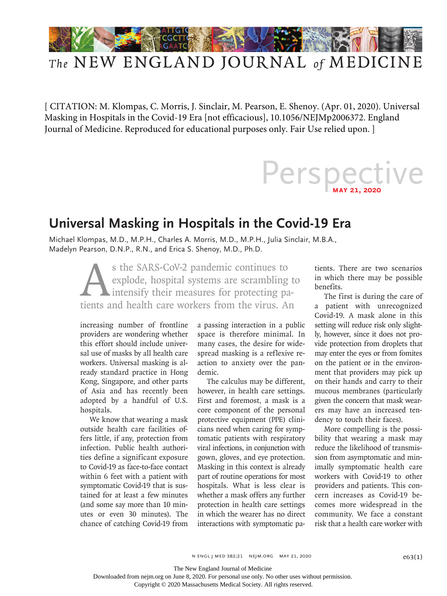

## *The* NEW ENGLAND JOURNAL *of* MEDICINE

[ CITATION: M. Klompas, C. Morris, J. Sinclair, M. Pearson, E. Shenoy. (Apr. 01, 2020). Universal Masking in Hospitals in the Covid-19 Era [not efficacious], 10.1056/NEJMp2006372. England Journal of Medicine. Reproduced for educational purposes only. Fair Use relied upon. ]

## Perspective

## **Universal Masking in Hospitals in the Covid-19 Era**

Michael Klompas, M.D., M.P.H., Charles A. Morris, M.D., M.P.H., Julia Sinclair, M.B.A., Madelyn Pearson, D.N.P., R.N., and Erica S. Shenoy, M.D., Ph.D.

> s the SARS-CoV-2 pandemic continues to<br>explode, hospital systems are scrambling<br>intensify their measures for protecting pa<br>tients and health care workers from the virus. An explode, hospital systems are scrambling to intensify their measures for protecting patients and health care workers from the virus. An

increasing number of frontline providers are wondering whether this effort should include universal use of masks by all health care workers. Universal masking is already standard practice in Hong Kong, Singapore, and other parts of Asia and has recently been adopted by a handful of U.S. hospitals.

We know that wearing a mask outside health care facilities offers little, if any, protection from infection. Public health authorities define a significant exposure to Covid-19 as face-to-face contact within 6 feet with a patient with symptomatic Covid-19 that is sustained for at least a few minutes (and some say more than 10 minutes or even 30 minutes). The chance of catching Covid-19 from

a passing interaction in a public space is therefore minimal. In many cases, the desire for widespread masking is a reflexive reaction to anxiety over the pandemic.

The calculus may be different, however, in health care settings. First and foremost, a mask is a core component of the personal protective equipment (PPE) clinicians need when caring for symptomatic patients with respiratory viral infections, in conjunction with gown, gloves, and eye protection. Masking in this context is already part of routine operations for most hospitals. What is less clear is whether a mask offers any further protection in health care settings in which the wearer has no direct interactions with symptomatic patients. There are two scenarios in which there may be possible benefits.

The first is during the care of a patient with unrecognized Covid-19. A mask alone in this setting will reduce risk only slightly, however, since it does not provide protection from droplets that may enter the eyes or from fomites on the patient or in the environment that providers may pick up on their hands and carry to their mucous membranes (particularly given the concern that mask wearers may have an increased tendency to touch their faces).

More compelling is the possibility that wearing a mask may reduce the likelihood of transmission from asymptomatic and minimally symptomatic health care workers with Covid-19 to other providers and patients. This concern increases as Covid-19 becomes more widespread in the community. We face a constant risk that a health care worker with

 $N$  ENGL J MED 382;21 NEJM.ORG MAY 21, 2020

The New England Journal of Medicine

Downloaded from nejm.org on June 8, 2020. For personal use only. No other uses without permission.

Copyright © 2020 Massachusetts Medical Society. All rights reserved.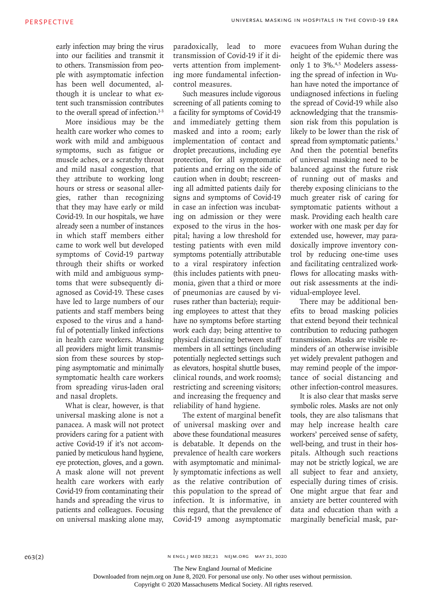early infection may bring the virus into our facilities and transmit it to others. Transmission from people with asymptomatic infection has been well documented, although it is unclear to what extent such transmission contributes to the overall spread of infection.<sup>1-3</sup>

More insidious may be the health care worker who comes to work with mild and ambiguous symptoms, such as fatigue or muscle aches, or a scratchy throat and mild nasal congestion, that they attribute to working long hours or stress or seasonal allergies, rather than recognizing that they may have early or mild Covid-19. In our hospitals, we have already seen a number of instances in which staff members either came to work well but developed symptoms of Covid-19 partway through their shifts or worked with mild and ambiguous symptoms that were subsequently diagnosed as Covid-19. These cases have led to large numbers of our patients and staff members being exposed to the virus and a handful of potentially linked infections in health care workers. Masking all providers might limit transmission from these sources by stopping asymptomatic and minimally symptomatic health care workers from spreading virus-laden oral and nasal droplets.

What is clear, however, is that universal masking alone is not a panacea. A mask will not protect providers caring for a patient with active Covid-19 if it's not accompanied by meticulous hand hygiene, eye protection, gloves, and a gown. A mask alone will not prevent health care workers with early Covid-19 from contaminating their hands and spreading the virus to patients and colleagues. Focusing on universal masking alone may,

paradoxically, lead to more transmission of Covid-19 if it diverts attention from implementing more fundamental infectioncontrol measures.

Such measures include vigorous screening of all patients coming to a facility for symptoms of Covid-19 and immediately getting them masked and into a room; early implementation of contact and droplet precautions, including eye protection, for all symptomatic patients and erring on the side of caution when in doubt; rescreening all admitted patients daily for signs and symptoms of Covid-19 in case an infection was incubating on admission or they were exposed to the virus in the hospital; having a low threshold for testing patients with even mild symptoms potentially attributable to a viral respiratory infection (this includes patients with pneumonia, given that a third or more of pneumonias are caused by viruses rather than bacteria); requiring employees to attest that they have no symptoms before starting work each day; being attentive to physical distancing between staff members in all settings (including potentially neglected settings such as elevators, hospital shuttle buses, clinical rounds, and work rooms); restricting and screening visitors; and increasing the frequency and reliability of hand hygiene.

The extent of marginal benefit of universal masking over and above these foundational measures is debatable. It depends on the prevalence of health care workers with asymptomatic and minimally symptomatic infections as well as the relative contribution of this population to the spread of infection. It is informative, in this regard, that the prevalence of Covid-19 among asymptomatic evacuees from Wuhan during the height of the epidemic there was only 1 to 3%.<sup>4,5</sup> Modelers assessing the spread of infection in Wuhan have noted the importance of undiagnosed infections in fueling the spread of Covid-19 while also acknowledging that the transmission risk from this population is likely to be lower than the risk of spread from symptomatic patients.<sup>3</sup> And then the potential benefits of universal masking need to be balanced against the future risk of running out of masks and thereby exposing clinicians to the much greater risk of caring for symptomatic patients without a mask. Providing each health care worker with one mask per day for extended use, however, may paradoxically improve inventory control by reducing one-time uses and facilitating centralized workflows for allocating masks without risk assessments at the individual-employee level.

There may be additional benefits to broad masking policies that extend beyond their technical contribution to reducing pathogen transmission. Masks are visible reminders of an otherwise invisible yet widely prevalent pathogen and may remind people of the importance of social distancing and other infection-control measures.

It is also clear that masks serve symbolic roles. Masks are not only tools, they are also talismans that may help increase health care workers' perceived sense of safety, well-being, and trust in their hospitals. Although such reactions may not be strictly logical, we are all subject to fear and anxiety, especially during times of crisis. One might argue that fear and anxiety are better countered with data and education than with a marginally beneficial mask, par-

n engl j med 382;21 nejm.org May 21, 2020

The New England Journal of Medicine

Downloaded from nejm.org on June 8, 2020. For personal use only. No other uses without permission.

Copyright © 2020 Massachusetts Medical Society. All rights reserved.